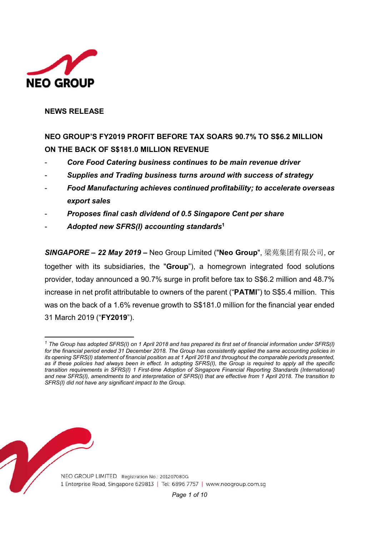

 $\overline{a}$ 

### **NEWS RELEASE**

# **NEO GROUP'S FY2019 PROFIT BEFORE TAX SOARS 90.7% TO S\$6.2 MILLION ON THE BACK OF S\$181.0 MILLION REVENUE**

- *Core Food Catering business continues to be main revenue driver*
- *Supplies and Trading business turns around with success of strategy*
- *Food Manufacturing achieves continued profitability; to accelerate overseas export sales*
- *Proposes final cash dividend of 0.5 Singapore Cent per share*
- *Adopted new SFRS(I) accounting standards***<sup>1</sup>**

*SINGAPORE – 22 May 2019* **–** Neo Group Limited ("**Neo Group**", 梁苑集团有限公司, or together with its subsidiaries, the "**Group**"), a homegrown integrated food solutions provider, today announced a 90.7% surge in profit before tax to S\$6.2 million and 48.7% increase in net profit attributable to owners of the parent ("**PATMI**") to S\$5.4 million. This was on the back of a 1.6% revenue growth to S\$181.0 million for the financial year ended 31 March 2019 ("**FY2019**").



*<sup>1</sup> The Group has adopted SFRS(I) on 1 April 2018 and has prepared its first set of financial information under SFRS(I) for the financial period ended 31 December 2018. The Group has consistently applied the same accounting policies in its opening SFRS(I) statement of financial position as at 1 April 2018 and throughout the comparable periods presented,*  as if these policies had always been in effect. In adopting SFRS(I), the Group is required to apply all the specific *transition requirements in SFRS(I) 1 First-time Adoption of Singapore Financial Reporting Standards (International) and new SFRS(I), amendments to and interpretation of SFRS(I) that are effective from 1 April 2018. The transition to SFRS(I) did not have any significant impact to the Group.*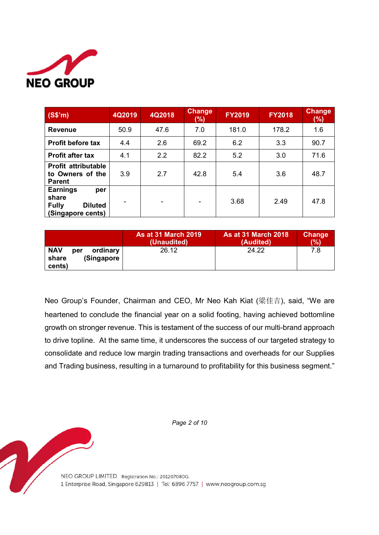

| (S\$'m)                                                                                | 4Q2019 | 4Q2018 | <b>Change</b><br>(%) | <b>FY2019</b> | <b>FY2018</b> | <b>Change</b><br>(%) |
|----------------------------------------------------------------------------------------|--------|--------|----------------------|---------------|---------------|----------------------|
| <b>Revenue</b>                                                                         | 50.9   | 47.6   | 7.0                  | 181.0         | 178.2         | 1.6                  |
| <b>Profit before tax</b>                                                               | 4.4    | 2.6    | 69.2                 | 6.2           | 3.3           | 90.7                 |
| <b>Profit after tax</b>                                                                | 4.1    | 2.2    | 82.2                 | 5.2           | 3.0           | 71.6                 |
| Profit attributable<br>to Owners of the<br><b>Parent</b>                               | 3.9    | 2.7    | 42.8                 | 5.4           | 3.6           | 48.7                 |
| <b>Earnings</b><br>per<br>share<br><b>Fully</b><br><b>Diluted</b><br>(Singapore cents) |        | -      |                      | 3.68          | 2.49          | 47.8                 |

|                                                                | <b>As at 31 March 2019</b> | <b>As at 31 March 2018</b> | <b>Change</b> |
|----------------------------------------------------------------|----------------------------|----------------------------|---------------|
|                                                                | (Unaudited)                | (Audited)                  | (%)           |
| <b>NAV</b><br>ordinary<br>per<br>(Singapore<br>share<br>cents) | 26.12                      | 24.22                      | 7.8           |

Neo Group's Founder, Chairman and CEO, Mr Neo Kah Kiat (梁佳吉), said, "We are heartened to conclude the financial year on a solid footing, having achieved bottomline growth on stronger revenue. This is testament of the success of our multi-brand approach to drive topline. At the same time, it underscores the success of our targeted strategy to consolidate and reduce low margin trading transactions and overheads for our Supplies and Trading business, resulting in a turnaround to profitability for this business segment."

*Page 2 of 10*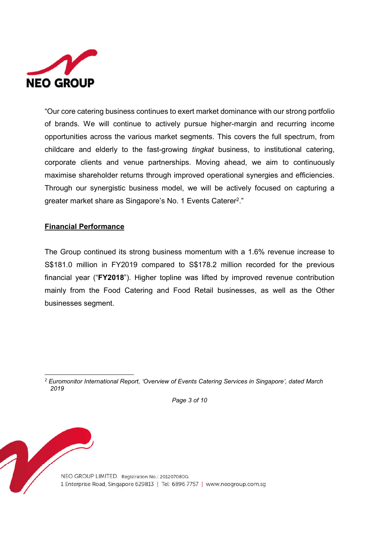

"Our core catering business continues to exert market dominance with our strong portfolio of brands. We will continue to actively pursue higher-margin and recurring income opportunities across the various market segments. This covers the full spectrum, from childcare and elderly to the fast-growing *tingkat* business, to institutional catering, corporate clients and venue partnerships. Moving ahead, we aim to continuously maximise shareholder returns through improved operational synergies and efficiencies. Through our synergistic business model, we will be actively focused on capturing a greater market share as Singapore's No. 1 Events Caterer2."

# **Financial Performance**

The Group continued its strong business momentum with a 1.6% revenue increase to S\$181.0 million in FY2019 compared to S\$178.2 million recorded for the previous financial year ("**FY2018**"). Higher topline was lifted by improved revenue contribution mainly from the Food Catering and Food Retail businesses, as well as the Other businesses segment.

*Page 3 of 10*

 $\overline{a}$ *<sup>2</sup> Euromonitor International Report, 'Overview of Events Catering Services in Singapore', dated March 2019*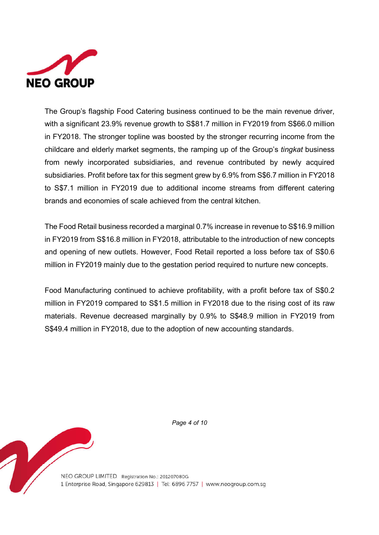

The Group's flagship Food Catering business continued to be the main revenue driver, with a significant 23.9% revenue growth to S\$81.7 million in FY2019 from S\$66.0 million in FY2018. The stronger topline was boosted by the stronger recurring income from the childcare and elderly market segments, the ramping up of the Group's *tingkat* business from newly incorporated subsidiaries, and revenue contributed by newly acquired subsidiaries. Profit before tax for this segment grew by 6.9% from S\$6.7 million in FY2018 to S\$7.1 million in FY2019 due to additional income streams from different catering brands and economies of scale achieved from the central kitchen.

The Food Retail business recorded a marginal 0.7% increase in revenue to S\$16.9 million in FY2019 from S\$16.8 million in FY2018, attributable to the introduction of new concepts and opening of new outlets. However, Food Retail reported a loss before tax of S\$0.6 million in FY2019 mainly due to the gestation period required to nurture new concepts.

Food Manufacturing continued to achieve profitability, with a profit before tax of S\$0.2 million in FY2019 compared to S\$1.5 million in FY2018 due to the rising cost of its raw materials. Revenue decreased marginally by 0.9% to S\$48.9 million in FY2019 from S\$49.4 million in FY2018, due to the adoption of new accounting standards.

*Page 4 of 10*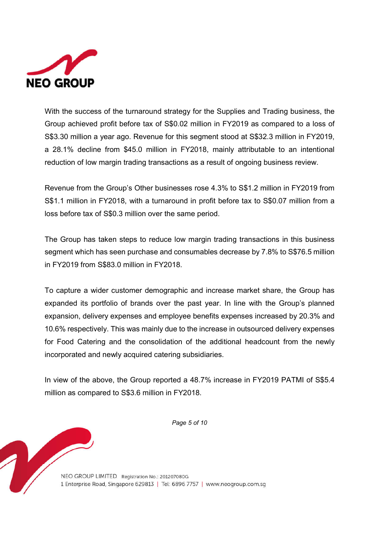

With the success of the turnaround strategy for the Supplies and Trading business, the Group achieved profit before tax of S\$0.02 million in FY2019 as compared to a loss of S\$3.30 million a year ago. Revenue for this segment stood at S\$32.3 million in FY2019, a 28.1% decline from \$45.0 million in FY2018, mainly attributable to an intentional reduction of low margin trading transactions as a result of ongoing business review.

Revenue from the Group's Other businesses rose 4.3% to S\$1.2 million in FY2019 from S\$1.1 million in FY2018, with a turnaround in profit before tax to S\$0.07 million from a loss before tax of S\$0.3 million over the same period.

The Group has taken steps to reduce low margin trading transactions in this business segment which has seen purchase and consumables decrease by 7.8% to S\$76.5 million in FY2019 from S\$83.0 million in FY2018.

To capture a wider customer demographic and increase market share, the Group has expanded its portfolio of brands over the past year. In line with the Group's planned expansion, delivery expenses and employee benefits expenses increased by 20.3% and 10.6% respectively. This was mainly due to the increase in outsourced delivery expenses for Food Catering and the consolidation of the additional headcount from the newly incorporated and newly acquired catering subsidiaries.

In view of the above, the Group reported a 48.7% increase in FY2019 PATMI of S\$5.4 million as compared to S\$3.6 million in FY2018.

*Page 5 of 10*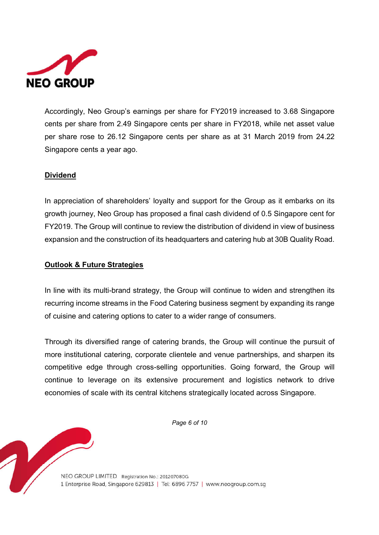

Accordingly, Neo Group's earnings per share for FY2019 increased to 3.68 Singapore cents per share from 2.49 Singapore cents per share in FY2018, while net asset value per share rose to 26.12 Singapore cents per share as at 31 March 2019 from 24.22 Singapore cents a year ago.

# **Dividend**

In appreciation of shareholders' loyalty and support for the Group as it embarks on its growth journey, Neo Group has proposed a final cash dividend of 0.5 Singapore cent for FY2019. The Group will continue to review the distribution of dividend in view of business expansion and the construction of its headquarters and catering hub at 30B Quality Road.

### **Outlook & Future Strategies**

In line with its multi-brand strategy, the Group will continue to widen and strengthen its recurring income streams in the Food Catering business segment by expanding its range of cuisine and catering options to cater to a wider range of consumers.

Through its diversified range of catering brands, the Group will continue the pursuit of more institutional catering, corporate clientele and venue partnerships, and sharpen its competitive edge through cross-selling opportunities. Going forward, the Group will continue to leverage on its extensive procurement and logistics network to drive economies of scale with its central kitchens strategically located across Singapore.

*Page 6 of 10*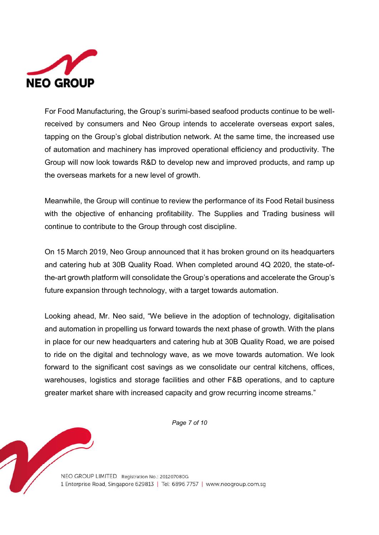

For Food Manufacturing, the Group's surimi-based seafood products continue to be wellreceived by consumers and Neo Group intends to accelerate overseas export sales, tapping on the Group's global distribution network. At the same time, the increased use of automation and machinery has improved operational efficiency and productivity. The Group will now look towards R&D to develop new and improved products, and ramp up the overseas markets for a new level of growth.

Meanwhile, the Group will continue to review the performance of its Food Retail business with the objective of enhancing profitability. The Supplies and Trading business will continue to contribute to the Group through cost discipline.

On 15 March 2019, Neo Group announced that it has broken ground on its headquarters and catering hub at 30B Quality Road. When completed around 4Q 2020, the state-ofthe-art growth platform will consolidate the Group's operations and accelerate the Group's future expansion through technology, with a target towards automation.

Looking ahead, Mr. Neo said, "We believe in the adoption of technology, digitalisation and automation in propelling us forward towards the next phase of growth. With the plans in place for our new headquarters and catering hub at 30B Quality Road, we are poised to ride on the digital and technology wave, as we move towards automation. We look forward to the significant cost savings as we consolidate our central kitchens, offices, warehouses, logistics and storage facilities and other F&B operations, and to capture greater market share with increased capacity and grow recurring income streams."

*Page 7 of 10*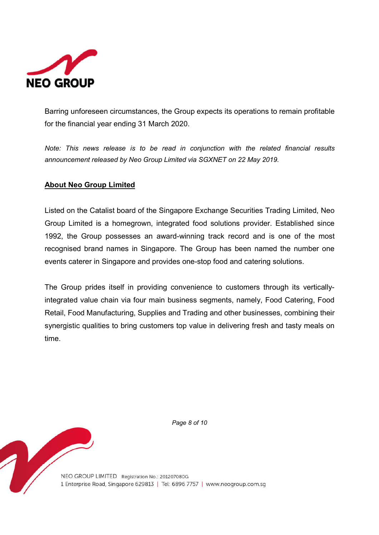

Barring unforeseen circumstances, the Group expects its operations to remain profitable for the financial year ending 31 March 2020.

*Note: This news release is to be read in conjunction with the related financial results announcement released by Neo Group Limited via SGXNET on 22 May 2019.*

# **About Neo Group Limited**

Listed on the Catalist board of the Singapore Exchange Securities Trading Limited, Neo Group Limited is a homegrown, integrated food solutions provider. Established since 1992, the Group possesses an award-winning track record and is one of the most recognised brand names in Singapore. The Group has been named the number one events caterer in Singapore and provides one-stop food and catering solutions.

The Group prides itself in providing convenience to customers through its verticallyintegrated value chain via four main business segments, namely, Food Catering, Food Retail, Food Manufacturing, Supplies and Trading and other businesses, combining their synergistic qualities to bring customers top value in delivering fresh and tasty meals on time.

*Page 8 of 10*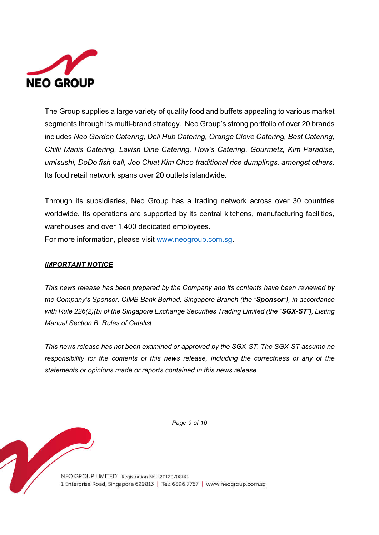

The Group supplies a large variety of quality food and buffets appealing to various market segments through its multi-brand strategy. Neo Group's strong portfolio of over 20 brands includes *Neo Garden Catering, Deli Hub Catering, Orange Clove Catering, Best Catering, Chilli Manis Catering, Lavish Dine Catering, How's Catering, Gourmetz, Kim Paradise, umisushi, DoDo fish ball, Joo Chiat Kim Choo traditional rice dumplings, amongst others*. Its food retail network spans over 20 outlets islandwide.

Through its subsidiaries, Neo Group has a trading network across over 30 countries worldwide. Its operations are supported by its central kitchens, manufacturing facilities, warehouses and over 1,400 dedicated employees.

For more information, please visit www.neogroup.com.sg.

### *IMPORTANT NOTICE*

*This news release has been prepared by the Company and its contents have been reviewed by the Company's Sponsor, CIMB Bank Berhad, Singapore Branch (the "Sponsor"), in accordance with Rule 226(2)(b) of the Singapore Exchange Securities Trading Limited (the "SGX-ST"), Listing Manual Section B: Rules of Catalist.* 

*This news release has not been examined or approved by the SGX-ST. The SGX-ST assume no responsibility for the contents of this news release, including the correctness of any of the statements or opinions made or reports contained in this news release.*

*Page 9 of 10*